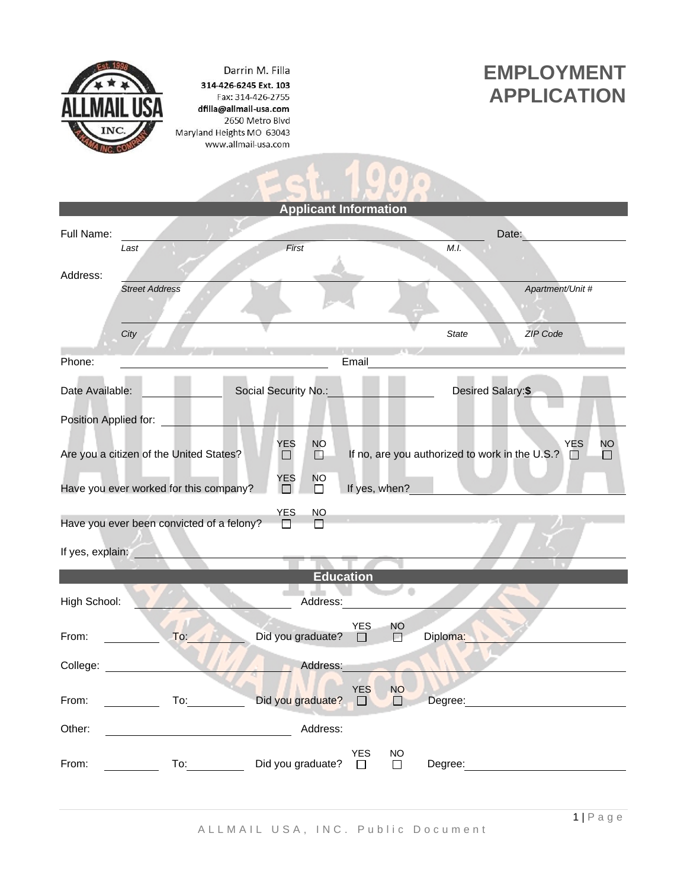

Darrin M. Filla 314-426-6245 Ext. 103 Fax: 314-426-2755 dfilla@allmail-usa.com 2650 Metro Blvd Maryland Heights MO 63043 www.allmail-usa.com

## **EMPLOYMENT APPLICATION**

|                                                                    |                                         |                                                          | <b>Applicant Information</b> |            |           |                                                  |                         |
|--------------------------------------------------------------------|-----------------------------------------|----------------------------------------------------------|------------------------------|------------|-----------|--------------------------------------------------|-------------------------|
| Full Name:                                                         |                                         | First                                                    |                              |            |           | M.I.                                             | Date:                   |
|                                                                    | Last                                    |                                                          |                              |            |           |                                                  |                         |
| Address:                                                           |                                         |                                                          |                              |            |           |                                                  |                         |
|                                                                    | <b>Street Address</b>                   |                                                          |                              |            |           |                                                  | Apartment/Unit #        |
|                                                                    |                                         |                                                          |                              |            |           |                                                  |                         |
|                                                                    | City                                    |                                                          |                              |            |           | <b>State</b>                                     | <b>ZIP Code</b>         |
| Phone:                                                             |                                         |                                                          |                              | Email      |           |                                                  |                         |
|                                                                    |                                         |                                                          |                              |            |           |                                                  |                         |
| Date Available:                                                    |                                         | Social Security No.:                                     |                              |            |           | Desired Salary:\$                                |                         |
| Position Applied for:                                              |                                         |                                                          |                              |            |           |                                                  |                         |
|                                                                    |                                         |                                                          |                              |            |           |                                                  |                         |
|                                                                    | Are you a citizen of the United States? | <b>YES</b><br>$\Box$                                     | <b>NO</b><br>$\Box$          |            |           | If no, are you authorized to work in the U.S.? □ | <b>YES</b><br><b>NO</b> |
|                                                                    |                                         | <b>YES</b>                                               | <b>NO</b>                    |            |           |                                                  |                         |
| Have you ever worked for this company?<br>If yes, when?<br>П.<br>П |                                         |                                                          |                              |            |           |                                                  |                         |
|                                                                    |                                         | <b>YES</b>                                               | NO.                          |            |           |                                                  |                         |
| Have you ever been convicted of a felony?                          |                                         |                                                          |                              |            |           |                                                  |                         |
| If yes, explain:                                                   |                                         |                                                          |                              |            |           |                                                  |                         |
| <b>Education</b>                                                   |                                         |                                                          |                              |            |           |                                                  |                         |
| ۰                                                                  |                                         |                                                          |                              |            |           |                                                  |                         |
| High School:                                                       |                                         |                                                          | Address:                     |            |           |                                                  |                         |
|                                                                    |                                         |                                                          |                              | <b>YES</b> | <b>NO</b> |                                                  |                         |
| From:                                                              | To:                                     | Did you graduate?                                        |                              | $\Box$     | 口         | Diploma:                                         |                         |
| College:                                                           |                                         |                                                          | Address:                     |            |           |                                                  |                         |
|                                                                    |                                         |                                                          |                              |            |           |                                                  |                         |
|                                                                    |                                         | From: <u>Contract To:</u> Contract Did you graduate? □ □ |                              |            |           |                                                  | Degree: Degree:         |
| Other:                                                             |                                         |                                                          | Address:                     |            |           |                                                  |                         |
|                                                                    |                                         |                                                          |                              |            |           |                                                  |                         |
| From:                                                              |                                         | To: Did you graduate?                                    |                              | YES        | $\Box$    |                                                  |                         |
|                                                                    |                                         |                                                          |                              |            |           |                                                  |                         |
|                                                                    |                                         |                                                          |                              |            |           |                                                  |                         |

 $-1.1000$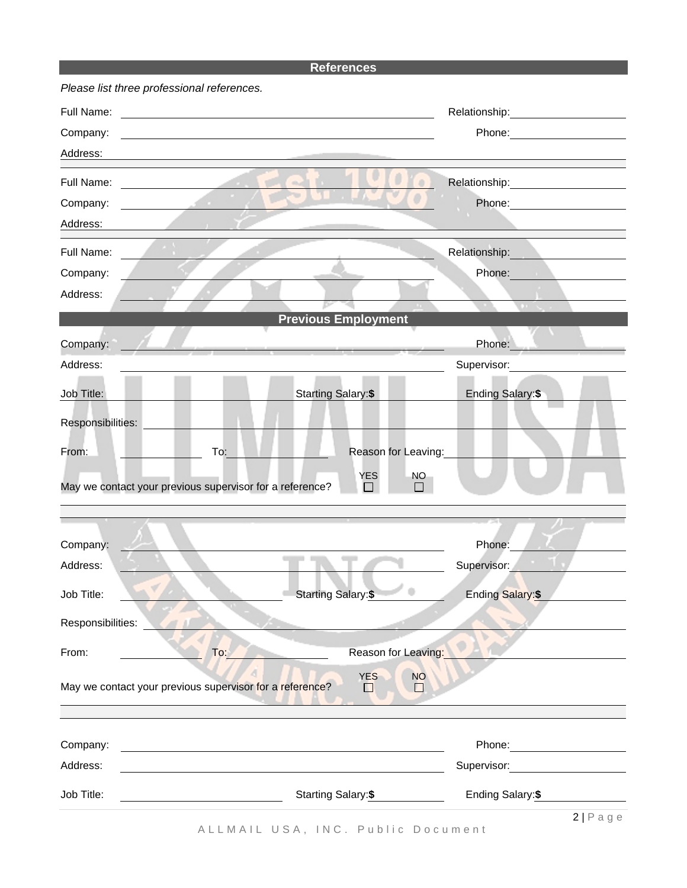## **References**

| Please list three professional references.               |                                        |                                                                                                                  |
|----------------------------------------------------------|----------------------------------------|------------------------------------------------------------------------------------------------------------------|
| Full Name:                                               |                                        | Relationship: \\square\\square\\square\\square\\square\\square\\square\\square\\square\\square\\square\\square\  |
| Company:                                                 |                                        |                                                                                                                  |
| Address:                                                 |                                        |                                                                                                                  |
| Full Name:<br>the company of the company of the          | ch.                                    | Relationship: example and the set of the set of the set of the set of the set of the set of the set of the set o |
| Company:<br>and the state of the                         |                                        | Phone:                                                                                                           |
| Address:                                                 |                                        |                                                                                                                  |
| Full Name:                                               |                                        | Relationship:                                                                                                    |
| Company:                                                 |                                        | Phone:                                                                                                           |
| Address:                                                 |                                        |                                                                                                                  |
|                                                          | <b>Previous Employment</b>             |                                                                                                                  |
| Company:                                                 |                                        | Phone:                                                                                                           |
| Address:                                                 |                                        | Supervisor:                                                                                                      |
|                                                          |                                        |                                                                                                                  |
| Job Title:                                               | <b>Starting Salary:\$</b>              | Ending Salary:\$                                                                                                 |
| Responsibilities:                                        |                                        |                                                                                                                  |
| To:<br>From:                                             | Reason for Leaving:                    |                                                                                                                  |
|                                                          | <b>YES</b><br>NO.                      |                                                                                                                  |
| May we contact your previous supervisor for a reference? |                                        |                                                                                                                  |
|                                                          |                                        |                                                                                                                  |
|                                                          |                                        |                                                                                                                  |
| Company:<br>Address:                                     |                                        | Phone:<br>Supervisor:                                                                                            |
|                                                          |                                        |                                                                                                                  |
| Job Title:                                               | <b>Starting Salary:\$</b>              | Ending Salary:\$                                                                                                 |
| Responsibilities:                                        |                                        |                                                                                                                  |
| From:<br>To:                                             | Reason for Leaving:                    |                                                                                                                  |
|                                                          |                                        |                                                                                                                  |
| May we contact your previous supervisor for a reference? | <b>YES</b><br><b>NO</b><br>$\Box$<br>П |                                                                                                                  |
|                                                          |                                        |                                                                                                                  |
|                                                          |                                        |                                                                                                                  |
| Company:                                                 |                                        |                                                                                                                  |
| Address:                                                 |                                        | Supervisor: View Contract Contract Contract Contract Contract Contract Contract Contract Contract Co             |
| Job Title:                                               | Starting Salary: \$                    | Ending Salary: \$                                                                                                |
|                                                          |                                        | $2 P \text{ age} $                                                                                               |

A L L M A I L U S A, IN C. Public Document